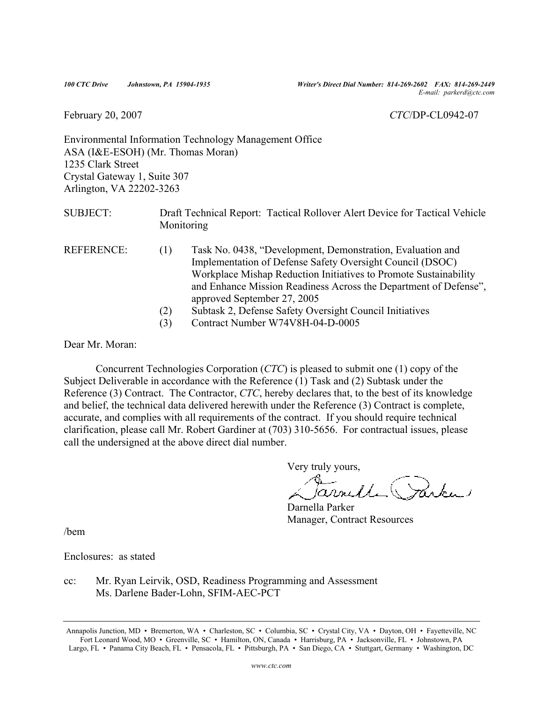*100 CTC Drive Johnstown, PA 15904-1935 Writer's Direct Dial Number: 814-269-2602 FAX: 814-269-2449 E-mail: parkerd@ctc.com*

#### February 20, 2007 *CTC*/DP-CL0942-07

Environmental Information Technology Management Office ASA (I&E-ESOH) (Mr. Thomas Moran) 1235 Clark Street Crystal Gateway 1, Suite 307 Arlington, VA 22202-3263

SUBJECT: Draft Technical Report: Tactical Rollover Alert Device for Tactical Vehicle **Monitoring** 

- REFERENCE: (1) Task No. 0438, "Development, Demonstration, Evaluation and Implementation of Defense Safety Oversight Council (DSOC) Workplace Mishap Reduction Initiatives to Promote Sustainability and Enhance Mission Readiness Across the Department of Defense", approved September 27, 2005
	- (2) Subtask 2, Defense Safety Oversight Council Initiatives
	- (3) Contract Number W74V8H-04-D-0005

Dear Mr. Moran:

 Concurrent Technologies Corporation (*CTC*) is pleased to submit one (1) copy of the Subject Deliverable in accordance with the Reference (1) Task and (2) Subtask under the Reference (3) Contract. The Contractor, *CTC*, hereby declares that, to the best of its knowledge and belief, the technical data delivered herewith under the Reference (3) Contract is complete, accurate, and complies with all requirements of the contract. If you should require technical clarification, please call Mr. Robert Gardiner at (703) 310-5656. For contractual issues, please call the undersigned at the above direct dial number.

Very truly yours,

Carnelle Parker

Darnella Parker Manager, Contract Resources

/bem

Enclosures: as stated

cc: Mr. Ryan Leirvik, OSD, Readiness Programming and Assessment Ms. Darlene Bader-Lohn, SFIM-AEC-PCT

Annapolis Junction, MD • Bremerton, WA • Charleston, SC • Columbia, SC • Crystal City, VA • Dayton, OH • Fayetteville, NC Fort Leonard Wood, MO • Greenville, SC • Hamilton, ON, Canada • Harrisburg, PA • Jacksonville, FL • Johnstown, PA Largo, FL • Panama City Beach, FL • Pensacola, FL • Pittsburgh, PA • San Diego, CA • Stuttgart, Germany • Washington, DC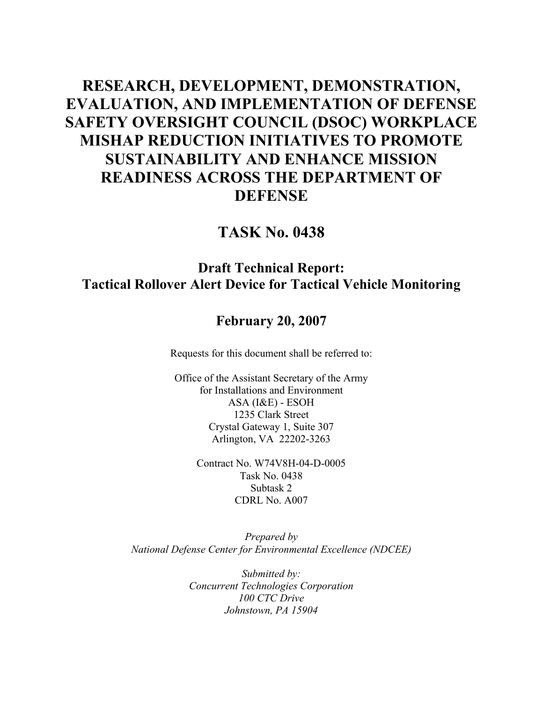# **RESEARCH, DEVELOPMENT, DEMONSTRATION, EVALUATION, AND IMPLEMENTATION OF DEFENSE SAFETY OVERSIGHT COUNCIL (DSOC) WORKPLACE MISHAP REDUCTION INITIATIVES TO PROMOTE SUSTAINABILITY AND ENHANCE MISSION READINESS ACROSS THE DEPARTMENT OF DEFENSE**

# **TASK No. 0438**

# **Draft Technical Report: Tactical Rollover Alert Device for Tactical Vehicle Monitoring**

# **February 20, 2007**

Requests for this document shall be referred to:

Office of the Assistant Secretary of the Army for Installations and Environment ASA (I&E) - ESOH 1235 Clark Street Crystal Gateway 1, Suite 307 Arlington, VA 22202-3263

> Contract No. W74V8H-04-D-0005 Task No. 0438 Subtask 2 CDRL No. A007

*Prepared by National Defense Center for Environmental Excellence (NDCEE)* 

> *Submitted by: Concurrent Technologies Corporation 100 CTC Drive Johnstown, PA 15904*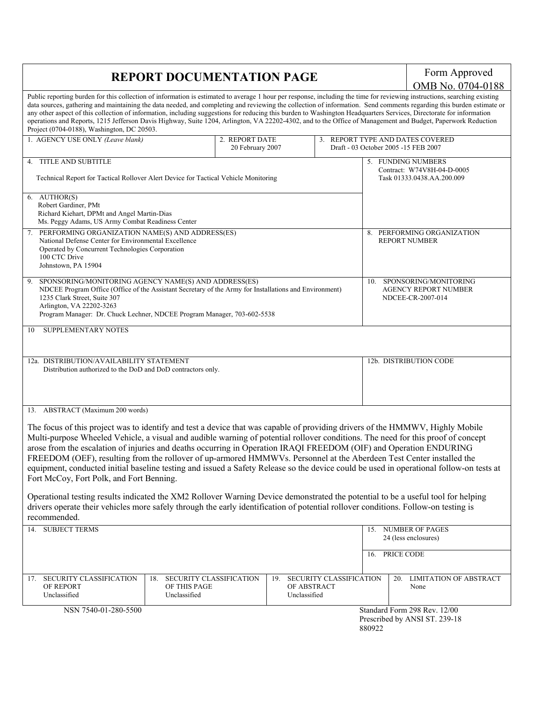# **REPORT DOCUMENTATION PAGE Form Approved**

OMB No. 0704-0188

| Public reporting burden for this collection of information is estimated to average 1 hour per response, including the time for reviewing instructions, searching existing<br>data sources, gathering and maintaining the data needed, and completing and reviewing the collection of information. Send comments regarding this burden estimate or<br>any other aspect of this collection of information, including suggestions for reducing this burden to Washington Headquarters Services, Directorate for information<br>operations and Reports, 1215 Jefferson Davis Highway, Suite 1204, Arlington, VA 22202-4302, and to the Office of Management and Budget, Paperwork Reduction<br>Project (0704-0188), Washington, DC 20503.                                                                                                                                                                                                                                                                                                |                                    |                                                                          |                                                                                |
|--------------------------------------------------------------------------------------------------------------------------------------------------------------------------------------------------------------------------------------------------------------------------------------------------------------------------------------------------------------------------------------------------------------------------------------------------------------------------------------------------------------------------------------------------------------------------------------------------------------------------------------------------------------------------------------------------------------------------------------------------------------------------------------------------------------------------------------------------------------------------------------------------------------------------------------------------------------------------------------------------------------------------------------|------------------------------------|--------------------------------------------------------------------------|--------------------------------------------------------------------------------|
| 1. AGENCY USE ONLY (Leave blank)                                                                                                                                                                                                                                                                                                                                                                                                                                                                                                                                                                                                                                                                                                                                                                                                                                                                                                                                                                                                     | 2. REPORT DATE<br>20 February 2007 | 3. REPORT TYPE AND DATES COVERED<br>Draft - 03 October 2005 -15 FEB 2007 |                                                                                |
| 4. TITLE AND SUBTITLE<br>Technical Report for Tactical Rollover Alert Device for Tactical Vehicle Monitoring                                                                                                                                                                                                                                                                                                                                                                                                                                                                                                                                                                                                                                                                                                                                                                                                                                                                                                                         |                                    |                                                                          | 5. FUNDING NUMBERS<br>Contract: W74V8H-04-D-0005<br>Task 01333.0438.AA.200.009 |
| 6. AUTHOR(S)<br>Robert Gardiner, PMt<br>Richard Kiehart, DPMt and Angel Martin-Dias<br>Ms. Peggy Adams, US Army Combat Readiness Center                                                                                                                                                                                                                                                                                                                                                                                                                                                                                                                                                                                                                                                                                                                                                                                                                                                                                              |                                    |                                                                          |                                                                                |
| PERFORMING ORGANIZATION NAME(S) AND ADDRESS(ES)<br>National Defense Center for Environmental Excellence<br>Operated by Concurrent Technologies Corporation<br>100 CTC Drive<br>Johnstown, PA 15904                                                                                                                                                                                                                                                                                                                                                                                                                                                                                                                                                                                                                                                                                                                                                                                                                                   |                                    |                                                                          | 8. PERFORMING ORGANIZATION<br><b>REPORT NUMBER</b>                             |
| SPONSORING/MONITORING AGENCY NAME(S) AND ADDRESS(ES)<br>NDCEE Program Office (Office of the Assistant Secretary of the Army for Installations and Environment)<br>1235 Clark Street, Suite 307<br>Arlington, VA 22202-3263<br>Program Manager: Dr. Chuck Lechner, NDCEE Program Manager, 703-602-5538                                                                                                                                                                                                                                                                                                                                                                                                                                                                                                                                                                                                                                                                                                                                |                                    | 10.                                                                      | SPONSORING/MONITORING<br><b>AGENCY REPORT NUMBER</b><br>NDCEE-CR-2007-014      |
| SUPPLEMENTARY NOTES<br>-10                                                                                                                                                                                                                                                                                                                                                                                                                                                                                                                                                                                                                                                                                                                                                                                                                                                                                                                                                                                                           |                                    |                                                                          |                                                                                |
| 12a. DISTRIBUTION/AVAILABILITY STATEMENT<br>Distribution authorized to the DoD and DoD contractors only.                                                                                                                                                                                                                                                                                                                                                                                                                                                                                                                                                                                                                                                                                                                                                                                                                                                                                                                             |                                    |                                                                          | 12b. DISTRIBUTION CODE                                                         |
| 13. ABSTRACT (Maximum 200 words)<br>The focus of this project was to identify and test a device that was capable of providing drivers of the HMMWV, Highly Mobile<br>Multi-purpose Wheeled Vehicle, a visual and audible warning of potential rollover conditions. The need for this proof of concept<br>arose from the escalation of injuries and deaths occurring in Operation IRAQI FREEDOM (OIF) and Operation ENDURING<br>FREEDOM (OEF), resulting from the rollover of up-armored HMMWVs. Personnel at the Aberdeen Test Center installed the<br>equipment, conducted initial baseline testing and issued a Safety Release so the device could be used in operational follow-on tests at<br>Fort McCoy, Fort Polk, and Fort Benning.<br>Operational testing results indicated the XM2 Rollover Warning Device demonstrated the potential to be a useful tool for helping<br>drivers operate their vehicles more safely through the early identification of potential rollover conditions. Follow-on testing is<br>recommended. |                                    |                                                                          |                                                                                |
| 14. SUBJECT TERMS                                                                                                                                                                                                                                                                                                                                                                                                                                                                                                                                                                                                                                                                                                                                                                                                                                                                                                                                                                                                                    |                                    | 15.<br>16.                                                               | <b>NUMBER OF PAGES</b><br>24 (less enclosures)<br>PRICE CODE                   |
| SECURITY CLASSIFICATION<br>SECURITY CLASSIFICATION<br>18.<br>17.<br>OF REPORT<br>OF THIS PAGE<br>Unclassified<br>Unclassified                                                                                                                                                                                                                                                                                                                                                                                                                                                                                                                                                                                                                                                                                                                                                                                                                                                                                                        | 19.<br>OF ABSTRACT<br>Unclassified | SECURITY CLASSIFICATION                                                  | <b>LIMITATION OF ABSTRACT</b><br>20.<br>None                                   |
| NSN 7540-01-280-5500                                                                                                                                                                                                                                                                                                                                                                                                                                                                                                                                                                                                                                                                                                                                                                                                                                                                                                                                                                                                                 |                                    | 880922                                                                   | Standard Form 298 Rev. 12/00<br>Prescribed by ANSI ST. 239-18                  |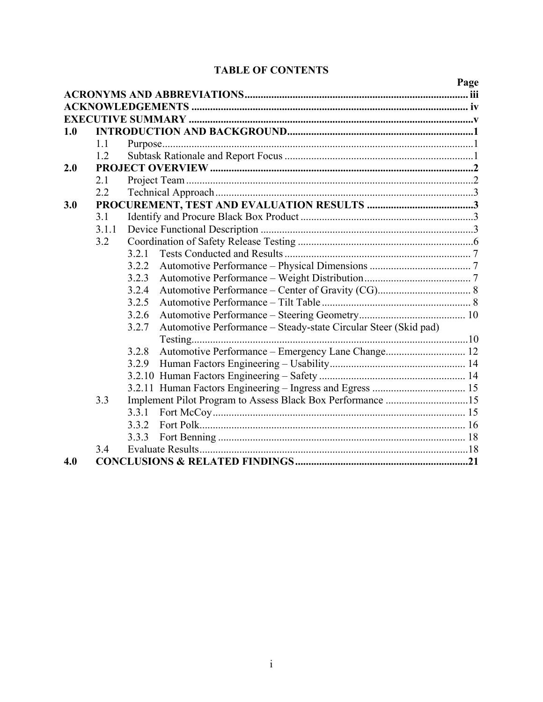# **TABLE OF CONTENTS**

|     |       |                                                                          | Page |
|-----|-------|--------------------------------------------------------------------------|------|
|     |       |                                                                          |      |
|     |       |                                                                          |      |
|     |       |                                                                          |      |
| 1.0 |       |                                                                          |      |
|     | 1.1   |                                                                          |      |
|     | 1.2   |                                                                          |      |
| 2.0 |       |                                                                          |      |
|     | 2.1   |                                                                          |      |
|     | 2.2   |                                                                          |      |
| 3.0 |       |                                                                          |      |
|     | 3.1   |                                                                          |      |
|     | 3.1.1 |                                                                          |      |
|     | 3.2   |                                                                          |      |
|     |       | 3.2.1                                                                    |      |
|     |       | 3.2.2                                                                    |      |
|     |       | 3.2.3                                                                    |      |
|     |       | 3.2.4                                                                    |      |
|     |       | 3.2.5                                                                    |      |
|     |       | 3.2.6                                                                    |      |
|     |       | Automotive Performance - Steady-state Circular Steer (Skid pad)<br>3.2.7 |      |
|     |       |                                                                          |      |
|     |       | Automotive Performance - Emergency Lane Change 12<br>3.2.8               |      |
|     |       | 3.2.9                                                                    |      |
|     |       |                                                                          |      |
|     |       |                                                                          |      |
|     | 3.3   |                                                                          |      |
|     |       | 3.3.1                                                                    |      |
|     |       | 3.3.2                                                                    |      |
|     |       | 3.3.3                                                                    |      |
|     | 3.4   |                                                                          |      |
| 4.0 |       |                                                                          |      |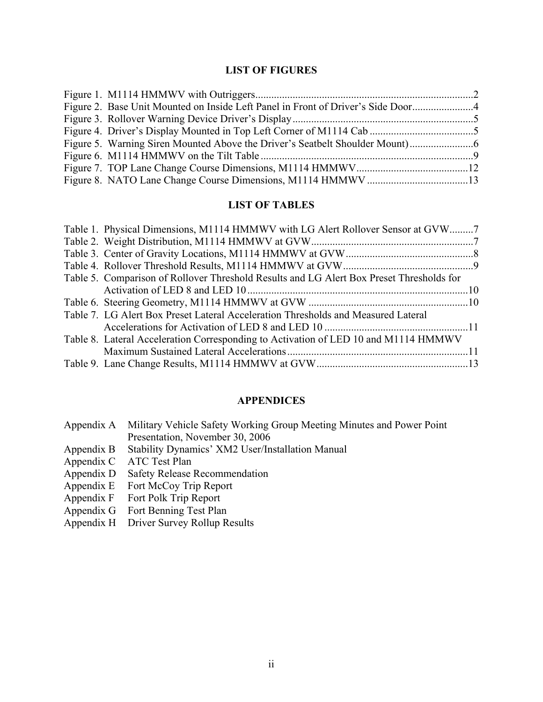# **LIST OF FIGURES**

| Figure 2. Base Unit Mounted on Inside Left Panel in Front of Driver's Side Door4 |  |
|----------------------------------------------------------------------------------|--|
|                                                                                  |  |
|                                                                                  |  |
| Figure 5. Warning Siren Mounted Above the Driver's Seatbelt Shoulder Mount)      |  |
|                                                                                  |  |
|                                                                                  |  |
|                                                                                  |  |

## **LIST OF TABLES**

| Table 1. Physical Dimensions, M1114 HMMWV with LG Alert Rollover Sensor at GVW7          |  |
|------------------------------------------------------------------------------------------|--|
|                                                                                          |  |
|                                                                                          |  |
|                                                                                          |  |
| Table 5. Comparison of Rollover Threshold Results and LG Alert Box Preset Thresholds for |  |
|                                                                                          |  |
|                                                                                          |  |
| Table 7. LG Alert Box Preset Lateral Acceleration Thresholds and Measured Lateral        |  |
|                                                                                          |  |
| Table 8. Lateral Acceleration Corresponding to Activation of LED 10 and M1114 HMMWV      |  |
|                                                                                          |  |
|                                                                                          |  |

## **APPENDICES**

| Appendix A Military Vehicle Safety Working Group Meeting Minutes and Power Point |
|----------------------------------------------------------------------------------|
| Presentation, November 30, 2006                                                  |
| Appendix B Stability Dynamics' XM2 User/Installation Manual                      |
| Appendix C ATC Test Plan                                                         |
| Appendix D Safety Release Recommendation                                         |
|                                                                                  |

- Appendix E Fort McCoy Trip Report
- Appendix F Fort Polk Trip Report
- Appendix G Fort Benning Test Plan
- Appendix H Driver Survey Rollup Results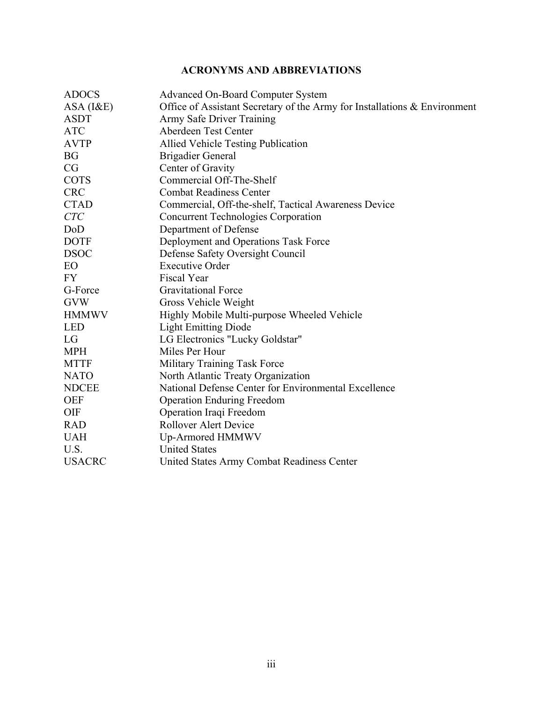# **ACRONYMS AND ABBREVIATIONS**

| <b>ADOCS</b>  | <b>Advanced On-Board Computer System</b>                                  |
|---------------|---------------------------------------------------------------------------|
| ASA (I&E)     | Office of Assistant Secretary of the Army for Installations & Environment |
| <b>ASDT</b>   | Army Safe Driver Training                                                 |
| <b>ATC</b>    | Aberdeen Test Center                                                      |
| <b>AVTP</b>   | <b>Allied Vehicle Testing Publication</b>                                 |
| <b>BG</b>     | <b>Brigadier General</b>                                                  |
| CG            | Center of Gravity                                                         |
| <b>COTS</b>   | Commercial Off-The-Shelf                                                  |
| <b>CRC</b>    | <b>Combat Readiness Center</b>                                            |
| <b>CTAD</b>   | Commercial, Off-the-shelf, Tactical Awareness Device                      |
| <b>CTC</b>    | <b>Concurrent Technologies Corporation</b>                                |
| DoD           | Department of Defense                                                     |
| <b>DOTF</b>   | Deployment and Operations Task Force                                      |
| <b>DSOC</b>   | Defense Safety Oversight Council                                          |
| EO            | <b>Executive Order</b>                                                    |
| <b>FY</b>     | Fiscal Year                                                               |
| G-Force       | <b>Gravitational Force</b>                                                |
| <b>GVW</b>    | Gross Vehicle Weight                                                      |
| <b>HMMWV</b>  | Highly Mobile Multi-purpose Wheeled Vehicle                               |
| <b>LED</b>    | <b>Light Emitting Diode</b>                                               |
| LG            | LG Electronics "Lucky Goldstar"                                           |
| <b>MPH</b>    | Miles Per Hour                                                            |
| <b>MTTF</b>   | Military Training Task Force                                              |
| <b>NATO</b>   | North Atlantic Treaty Organization                                        |
| <b>NDCEE</b>  | National Defense Center for Environmental Excellence                      |
| <b>OEF</b>    | <b>Operation Enduring Freedom</b>                                         |
| <b>OIF</b>    | Operation Iraqi Freedom                                                   |
| <b>RAD</b>    | <b>Rollover Alert Device</b>                                              |
| <b>UAH</b>    | Up-Armored HMMWV                                                          |
| U.S.          | <b>United States</b>                                                      |
| <b>USACRC</b> | <b>United States Army Combat Readiness Center</b>                         |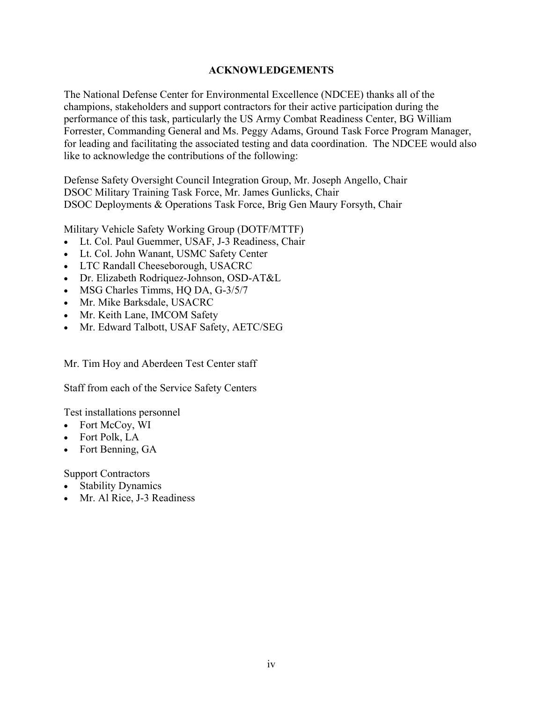#### **ACKNOWLEDGEMENTS**

The National Defense Center for Environmental Excellence (NDCEE) thanks all of the champions, stakeholders and support contractors for their active participation during the performance of this task, particularly the US Army Combat Readiness Center, BG William Forrester, Commanding General and Ms. Peggy Adams, Ground Task Force Program Manager, for leading and facilitating the associated testing and data coordination. The NDCEE would also like to acknowledge the contributions of the following:

Defense Safety Oversight Council Integration Group, Mr. Joseph Angello, Chair DSOC Military Training Task Force, Mr. James Gunlicks, Chair DSOC Deployments & Operations Task Force, Brig Gen Maury Forsyth, Chair

Military Vehicle Safety Working Group (DOTF/MTTF)

- Lt. Col. Paul Guemmer, USAF, J-3 Readiness, Chair
- Lt. Col. John Wanant, USMC Safety Center
- LTC Randall Cheeseborough, USACRC
- Dr. Elizabeth Rodriquez-Johnson, OSD-AT&L
- MSG Charles Timms, HQ DA, G-3/5/7
- Mr. Mike Barksdale, USACRC
- Mr. Keith Lane, IMCOM Safety
- Mr. Edward Talbott, USAF Safety, AETC/SEG

Mr. Tim Hoy and Aberdeen Test Center staff

Staff from each of the Service Safety Centers

Test installations personnel

- Fort McCoy, WI
- Fort Polk, LA
- Fort Benning, GA

Support Contractors

- Stability Dynamics
- Mr. Al Rice, J-3 Readiness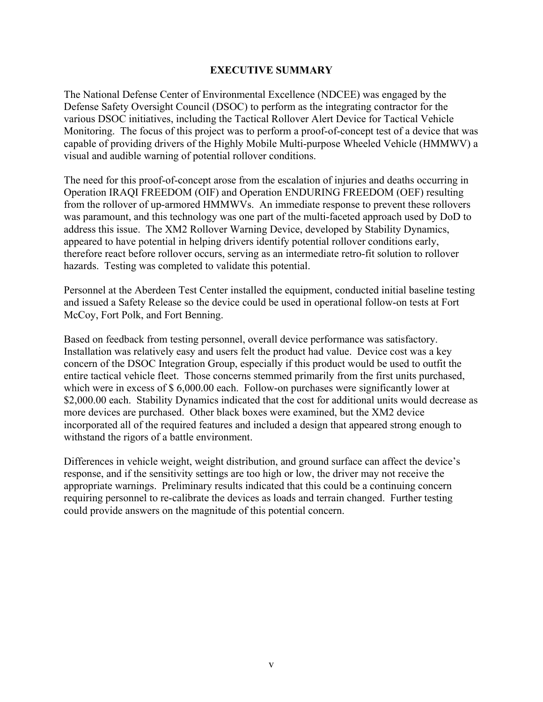#### **EXECUTIVE SUMMARY**

The National Defense Center of Environmental Excellence (NDCEE) was engaged by the Defense Safety Oversight Council (DSOC) to perform as the integrating contractor for the various DSOC initiatives, including the Tactical Rollover Alert Device for Tactical Vehicle Monitoring. The focus of this project was to perform a proof-of-concept test of a device that was capable of providing drivers of the Highly Mobile Multi-purpose Wheeled Vehicle (HMMWV) a visual and audible warning of potential rollover conditions.

The need for this proof-of-concept arose from the escalation of injuries and deaths occurring in Operation IRAQI FREEDOM (OIF) and Operation ENDURING FREEDOM (OEF) resulting from the rollover of up-armored HMMWVs. An immediate response to prevent these rollovers was paramount, and this technology was one part of the multi-faceted approach used by DoD to address this issue. The XM2 Rollover Warning Device, developed by Stability Dynamics, appeared to have potential in helping drivers identify potential rollover conditions early, therefore react before rollover occurs, serving as an intermediate retro-fit solution to rollover hazards. Testing was completed to validate this potential.

Personnel at the Aberdeen Test Center installed the equipment, conducted initial baseline testing and issued a Safety Release so the device could be used in operational follow-on tests at Fort McCoy, Fort Polk, and Fort Benning.

Based on feedback from testing personnel, overall device performance was satisfactory. Installation was relatively easy and users felt the product had value. Device cost was a key concern of the DSOC Integration Group, especially if this product would be used to outfit the entire tactical vehicle fleet. Those concerns stemmed primarily from the first units purchased, which were in excess of \$ 6,000.00 each. Follow-on purchases were significantly lower at \$2,000.00 each. Stability Dynamics indicated that the cost for additional units would decrease as more devices are purchased. Other black boxes were examined, but the XM2 device incorporated all of the required features and included a design that appeared strong enough to withstand the rigors of a battle environment.

Differences in vehicle weight, weight distribution, and ground surface can affect the device's response, and if the sensitivity settings are too high or low, the driver may not receive the appropriate warnings. Preliminary results indicated that this could be a continuing concern requiring personnel to re-calibrate the devices as loads and terrain changed. Further testing could provide answers on the magnitude of this potential concern.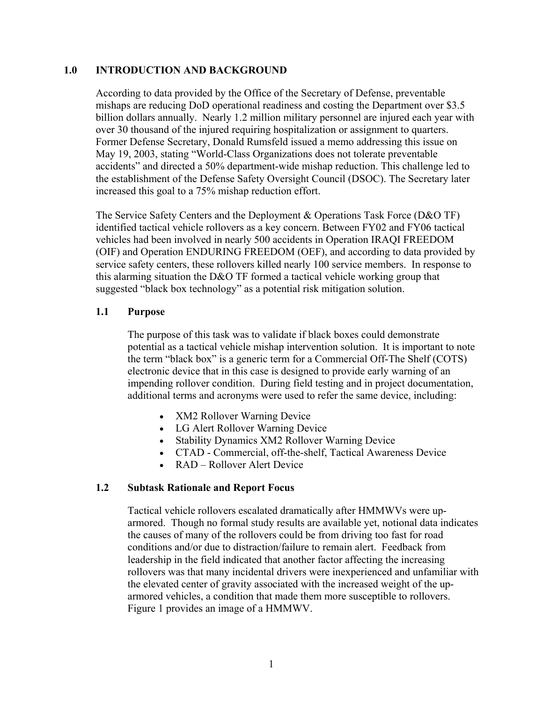#### **1.0 INTRODUCTION AND BACKGROUND**

According to data provided by the Office of the Secretary of Defense, preventable mishaps are reducing DoD operational readiness and costing the Department over \$3.5 billion dollars annually. Nearly 1.2 million military personnel are injured each year with over 30 thousand of the injured requiring hospitalization or assignment to quarters. Former Defense Secretary, Donald Rumsfeld issued a memo addressing this issue on May 19, 2003, stating "World-Class Organizations does not tolerate preventable accidents" and directed a 50% department-wide mishap reduction. This challenge led to the establishment of the Defense Safety Oversight Council (DSOC). The Secretary later increased this goal to a 75% mishap reduction effort.

The Service Safety Centers and the Deployment & Operations Task Force (D&O TF) identified tactical vehicle rollovers as a key concern. Between FY02 and FY06 tactical vehicles had been involved in nearly 500 accidents in Operation IRAQI FREEDOM (OIF) and Operation ENDURING FREEDOM (OEF), and according to data provided by service safety centers, these rollovers killed nearly 100 service members. In response to this alarming situation the D&O TF formed a tactical vehicle working group that suggested "black box technology" as a potential risk mitigation solution.

#### **1.1 Purpose**

The purpose of this task was to validate if black boxes could demonstrate potential as a tactical vehicle mishap intervention solution. It is important to note the term "black box" is a generic term for a Commercial Off-The Shelf (COTS) electronic device that in this case is designed to provide early warning of an impending rollover condition. During field testing and in project documentation, additional terms and acronyms were used to refer the same device, including:

- XM2 Rollover Warning Device
- LG Alert Rollover Warning Device
- Stability Dynamics XM2 Rollover Warning Device
- CTAD Commercial, off-the-shelf, Tactical Awareness Device
- RAD Rollover Alert Device

#### **1.2 Subtask Rationale and Report Focus**

Tactical vehicle rollovers escalated dramatically after HMMWVs were uparmored. Though no formal study results are available yet, notional data indicates the causes of many of the rollovers could be from driving too fast for road conditions and/or due to distraction/failure to remain alert. Feedback from leadership in the field indicated that another factor affecting the increasing rollovers was that many incidental drivers were inexperienced and unfamiliar with the elevated center of gravity associated with the increased weight of the uparmored vehicles, a condition that made them more susceptible to rollovers. Figure 1 provides an image of a HMMWV.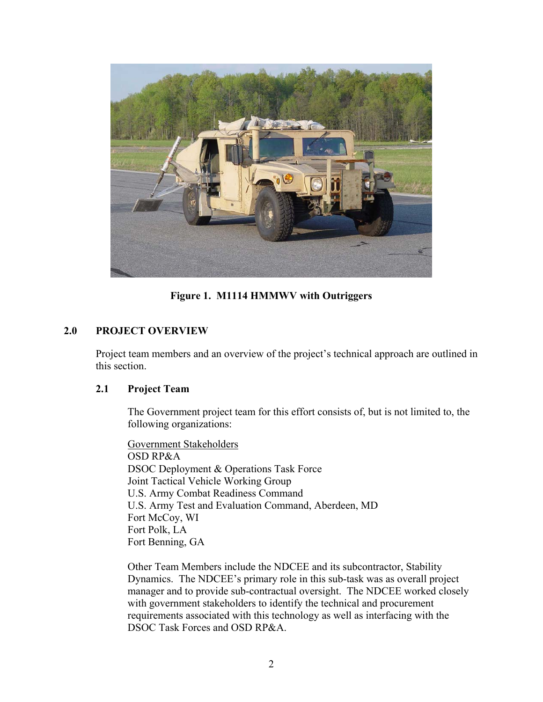

**Figure 1. M1114 HMMWV with Outriggers** 

## **2.0 PROJECT OVERVIEW**

Project team members and an overview of the project's technical approach are outlined in this section.

#### **2.1 Project Team**

The Government project team for this effort consists of, but is not limited to, the following organizations:

Government Stakeholders OSD RP&A DSOC Deployment & Operations Task Force Joint Tactical Vehicle Working Group U.S. Army Combat Readiness Command U.S. Army Test and Evaluation Command, Aberdeen, MD Fort McCoy, WI Fort Polk, LA Fort Benning, GA

Other Team Members include the NDCEE and its subcontractor, Stability Dynamics. The NDCEE's primary role in this sub-task was as overall project manager and to provide sub-contractual oversight. The NDCEE worked closely with government stakeholders to identify the technical and procurement requirements associated with this technology as well as interfacing with the DSOC Task Forces and OSD RP&A.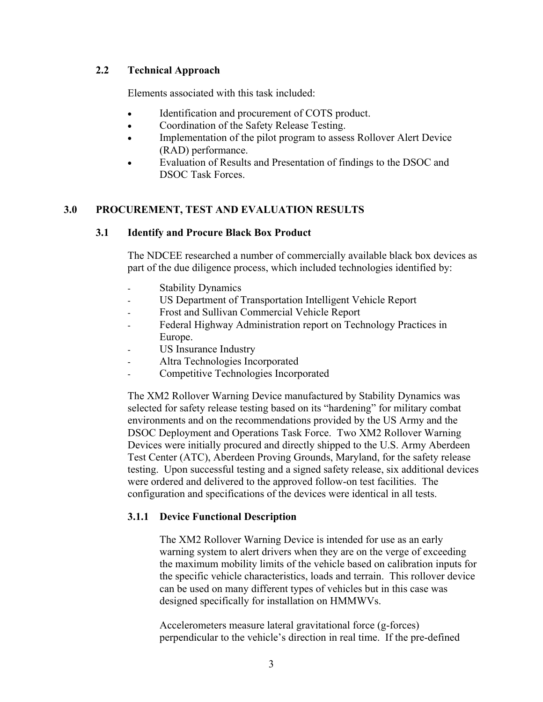#### **2.2 Technical Approach**

Elements associated with this task included:

- Identification and procurement of COTS product.
- Coordination of the Safety Release Testing.
- Implementation of the pilot program to assess Rollover Alert Device (RAD) performance.
- Evaluation of Results and Presentation of findings to the DSOC and DSOC Task Forces.

#### **3.0 PROCUREMENT, TEST AND EVALUATION RESULTS**

#### **3.1 Identify and Procure Black Box Product**

The NDCEE researched a number of commercially available black box devices as part of the due diligence process, which included technologies identified by:

- Stability Dynamics
- US Department of Transportation Intelligent Vehicle Report
- Frost and Sullivan Commercial Vehicle Report
- Federal Highway Administration report on Technology Practices in Europe.
- US Insurance Industry
- Altra Technologies Incorporated
- Competitive Technologies Incorporated

The XM2 Rollover Warning Device manufactured by Stability Dynamics was selected for safety release testing based on its "hardening" for military combat environments and on the recommendations provided by the US Army and the DSOC Deployment and Operations Task Force. Two XM2 Rollover Warning Devices were initially procured and directly shipped to the U.S. Army Aberdeen Test Center (ATC), Aberdeen Proving Grounds, Maryland, for the safety release testing. Upon successful testing and a signed safety release, six additional devices were ordered and delivered to the approved follow-on test facilities. The configuration and specifications of the devices were identical in all tests.

#### **3.1.1 Device Functional Description**

The XM2 Rollover Warning Device is intended for use as an early warning system to alert drivers when they are on the verge of exceeding the maximum mobility limits of the vehicle based on calibration inputs for the specific vehicle characteristics, loads and terrain. This rollover device can be used on many different types of vehicles but in this case was designed specifically for installation on HMMWVs.

Accelerometers measure lateral gravitational force (g-forces) perpendicular to the vehicle's direction in real time. If the pre-defined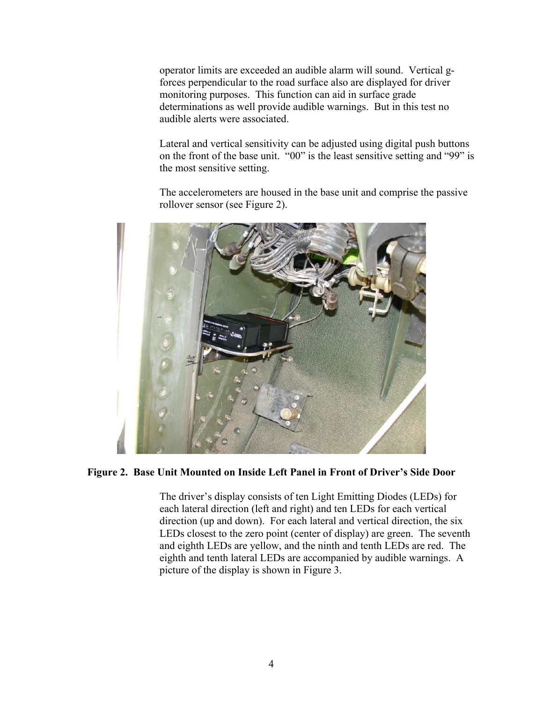operator limits are exceeded an audible alarm will sound. Vertical gforces perpendicular to the road surface also are displayed for driver monitoring purposes. This function can aid in surface grade determinations as well provide audible warnings. But in this test no audible alerts were associated.

Lateral and vertical sensitivity can be adjusted using digital push buttons on the front of the base unit. "00" is the least sensitive setting and "99" is the most sensitive setting.

The accelerometers are housed in the base unit and comprise the passive rollover sensor (see Figure 2).



#### **Figure 2. Base Unit Mounted on Inside Left Panel in Front of Driver's Side Door**

The driver's display consists of ten Light Emitting Diodes (LEDs) for each lateral direction (left and right) and ten LEDs for each vertical direction (up and down). For each lateral and vertical direction, the six LEDs closest to the zero point (center of display) are green. The seventh and eighth LEDs are yellow, and the ninth and tenth LEDs are red. The eighth and tenth lateral LEDs are accompanied by audible warnings. A picture of the display is shown in Figure 3.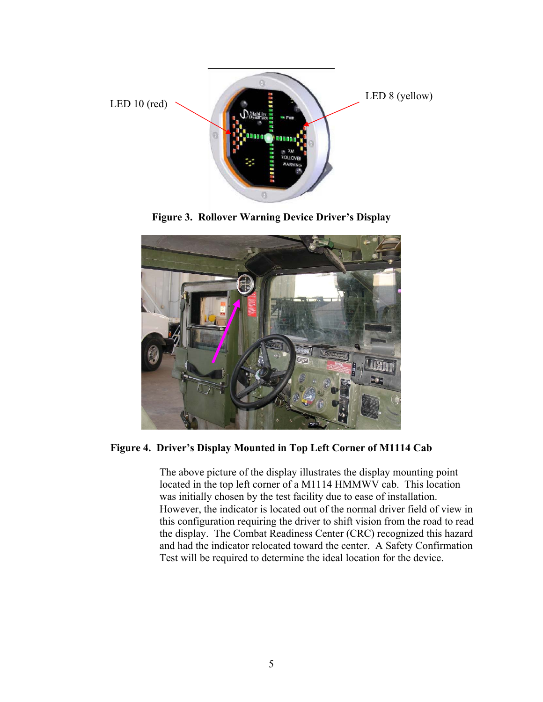

**Figure 3. Rollover Warning Device Driver's Display** 



**Figure 4. Driver's Display Mounted in Top Left Corner of M1114 Cab** 

The above picture of the display illustrates the display mounting point located in the top left corner of a M1114 HMMWV cab. This location was initially chosen by the test facility due to ease of installation. However, the indicator is located out of the normal driver field of view in this configuration requiring the driver to shift vision from the road to read the display. The Combat Readiness Center (CRC) recognized this hazard and had the indicator relocated toward the center. A Safety Confirmation Test will be required to determine the ideal location for the device.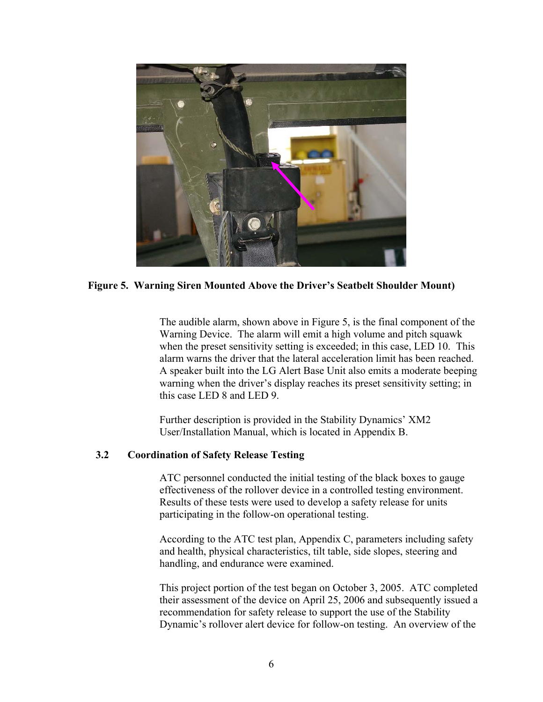

#### **Figure 5. Warning Siren Mounted Above the Driver's Seatbelt Shoulder Mount)**

The audible alarm, shown above in Figure 5, is the final component of the Warning Device. The alarm will emit a high volume and pitch squawk when the preset sensitivity setting is exceeded; in this case, LED 10. This alarm warns the driver that the lateral acceleration limit has been reached. A speaker built into the LG Alert Base Unit also emits a moderate beeping warning when the driver's display reaches its preset sensitivity setting; in this case LED 8 and LED 9.

Further description is provided in the Stability Dynamics' XM2 User/Installation Manual, which is located in Appendix B.

#### **3.2 Coordination of Safety Release Testing**

ATC personnel conducted the initial testing of the black boxes to gauge effectiveness of the rollover device in a controlled testing environment. Results of these tests were used to develop a safety release for units participating in the follow-on operational testing.

According to the ATC test plan, Appendix C, parameters including safety and health, physical characteristics, tilt table, side slopes, steering and handling, and endurance were examined.

This project portion of the test began on October 3, 2005. ATC completed their assessment of the device on April 25, 2006 and subsequently issued a recommendation for safety release to support the use of the Stability Dynamic's rollover alert device for follow-on testing. An overview of the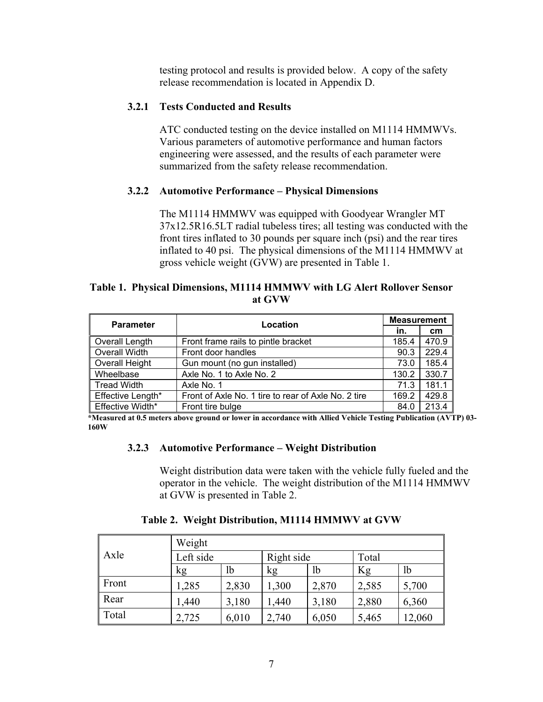testing protocol and results is provided below. A copy of the safety release recommendation is located in Appendix D.

## **3.2.1 Tests Conducted and Results**

ATC conducted testing on the device installed on M1114 HMMWVs. Various parameters of automotive performance and human factors engineering were assessed, and the results of each parameter were summarized from the safety release recommendation.

#### **3.2.2 Automotive Performance – Physical Dimensions**

The M1114 HMMWV was equipped with Goodyear Wrangler MT 37x12.5R16.5LT radial tubeless tires; all testing was conducted with the front tires inflated to 30 pounds per square inch (psi) and the rear tires inflated to 40 psi. The physical dimensions of the M1114 HMMWV at gross vehicle weight (GVW) are presented in Table 1.

#### **Table 1. Physical Dimensions, M1114 HMMWV with LG Alert Rollover Sensor at GVW**

| <b>Parameter</b>   | Location                                            | <b>Measurement</b> |       |  |
|--------------------|-----------------------------------------------------|--------------------|-------|--|
|                    |                                                     | in.                | cm    |  |
| Overall Length     | Front frame rails to pintle bracket                 | 185.4              | 470.9 |  |
| Overall Width      | Front door handles                                  | 90.3               | 229.4 |  |
| Overall Height     | Gun mount (no gun installed)                        | 73.0               | 185.4 |  |
| Wheelbase          | Axle No. 1 to Axle No. 2                            | 130.2              | 330.7 |  |
| <b>Tread Width</b> | Axle No. 1                                          | 71.3               | 181.1 |  |
| Effective Length*  | Front of Axle No. 1 tire to rear of Axle No. 2 tire | 169.2              | 429.8 |  |
| Effective Width*   | Front tire bulge                                    | 84.0               | 213.4 |  |

**\*Measured at 0.5 meters above ground or lower in accordance with Allied Vehicle Testing Publication (AVTP) 03- 160W** 

#### **3.2.3 Automotive Performance – Weight Distribution**

Weight distribution data were taken with the vehicle fully fueled and the operator in the vehicle. The weight distribution of the M1114 HMMWV at GVW is presented in Table 2.

|       | Weight    |       |            |       |       |       |
|-------|-----------|-------|------------|-------|-------|-------|
| Axle  | Left side |       | Right side |       | Total |       |
|       | kg        | lb    | kg         | lb    | Kg    | 1b    |
| Front | ,285      | 2,830 | 1,300      | 2,870 | 2,585 | 5,700 |
| Rear  | 1,440     | 3,180 | 1,440      | 3,180 | 2,880 | 6,360 |
| Total | 2,725     | 6,010 | 2,740      | 6,050 | 5,465 | 2,060 |

#### **Table 2. Weight Distribution, M1114 HMMWV at GVW**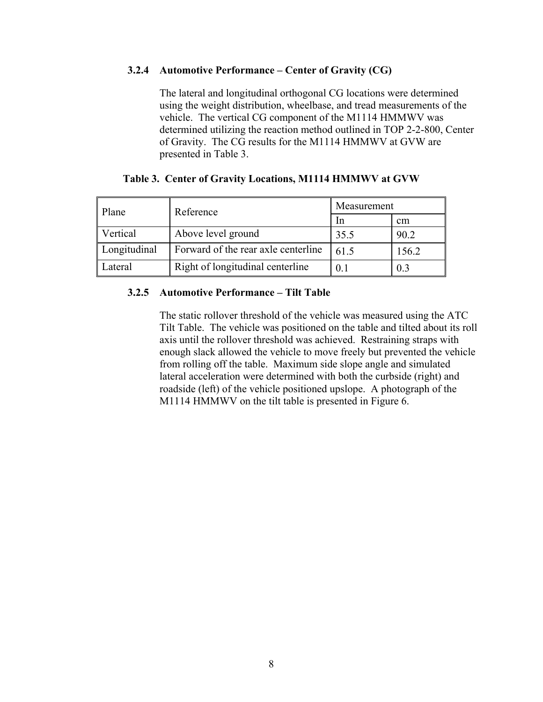#### **3.2.4 Automotive Performance – Center of Gravity (CG)**

The lateral and longitudinal orthogonal CG locations were determined using the weight distribution, wheelbase, and tread measurements of the vehicle. The vertical CG component of the M1114 HMMWV was determined utilizing the reaction method outlined in TOP 2-2-800, Center of Gravity. The CG results for the M1114 HMMWV at GVW are presented in Table 3.

| Plane        | Reference                           | Measurement    |       |
|--------------|-------------------------------------|----------------|-------|
|              |                                     | -In            | cm    |
| Vertical     | Above level ground                  | 35.5           | 90.2  |
| Longitudinal | Forward of the rear axle centerline | 61.5           | 156.2 |
| Lateral      | Right of longitudinal centerline    | 0 <sup>1</sup> | 0.3   |

#### **Table 3. Center of Gravity Locations, M1114 HMMWV at GVW**

#### **3.2.5 Automotive Performance – Tilt Table**

The static rollover threshold of the vehicle was measured using the ATC Tilt Table. The vehicle was positioned on the table and tilted about its roll axis until the rollover threshold was achieved. Restraining straps with enough slack allowed the vehicle to move freely but prevented the vehicle from rolling off the table. Maximum side slope angle and simulated lateral acceleration were determined with both the curbside (right) and roadside (left) of the vehicle positioned upslope. A photograph of the M1114 HMMWV on the tilt table is presented in Figure 6.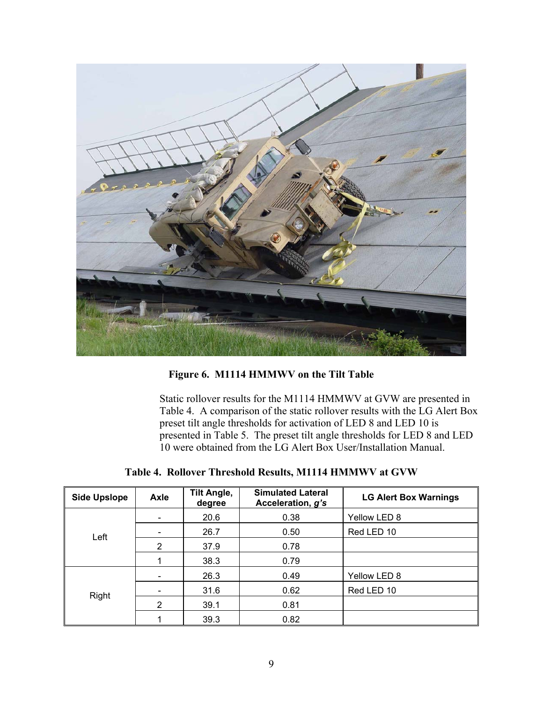

**Figure 6. M1114 HMMWV on the Tilt Table** 

Static rollover results for the M1114 HMMWV at GVW are presented in Table 4. A comparison of the static rollover results with the LG Alert Box preset tilt angle thresholds for activation of LED 8 and LED 10 is presented in Table 5. The preset tilt angle thresholds for LED 8 and LED 10 were obtained from the LG Alert Box User/Installation Manual.

|  |  | Table 4. Rollover Threshold Results, M1114 HMMWV at GVW |  |  |  |  |
|--|--|---------------------------------------------------------|--|--|--|--|
|--|--|---------------------------------------------------------|--|--|--|--|

| <b>Side Upslope</b> | Axle | <b>Tilt Angle,</b><br>degree | <b>Simulated Lateral</b><br>Acceleration, g's | <b>LG Alert Box Warnings</b> |
|---------------------|------|------------------------------|-----------------------------------------------|------------------------------|
|                     |      | 20.6                         | 0.38                                          | Yellow LED 8                 |
| Left                |      | 26.7                         | 0.50                                          | Red LED 10                   |
|                     | 2    | 37.9                         | 0.78                                          |                              |
|                     |      | 38.3                         | 0.79                                          |                              |
|                     |      | 26.3                         | 0.49                                          | Yellow LED 8                 |
| Right               |      | 31.6                         | 0.62                                          | Red LED 10                   |
|                     | 2    | 39.1                         | 0.81                                          |                              |
|                     |      | 39.3                         | 0.82                                          |                              |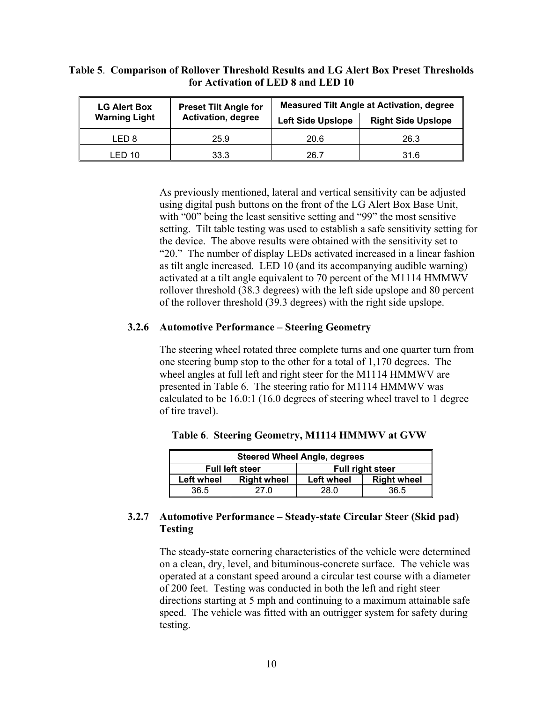#### **Table 5**. **Comparison of Rollover Threshold Results and LG Alert Box Preset Thresholds for Activation of LED 8 and LED 10**

| <b>LG Alert Box</b>  | <b>Preset Tilt Angle for</b> | <b>Measured Tilt Angle at Activation, degree</b> |                           |  |  |
|----------------------|------------------------------|--------------------------------------------------|---------------------------|--|--|
| <b>Warning Light</b> | <b>Activation, degree</b>    | <b>Left Side Upslope</b>                         | <b>Right Side Upslope</b> |  |  |
| LED 8                | 25.9                         | 20.6                                             | 26.3                      |  |  |
| LED 10               | 33.3                         | 26.7                                             | 31.6                      |  |  |

As previously mentioned, lateral and vertical sensitivity can be adjusted using digital push buttons on the front of the LG Alert Box Base Unit, with "00" being the least sensitive setting and "99" the most sensitive setting. Tilt table testing was used to establish a safe sensitivity setting for the device. The above results were obtained with the sensitivity set to "20." The number of display LEDs activated increased in a linear fashion as tilt angle increased. LED 10 (and its accompanying audible warning) activated at a tilt angle equivalent to 70 percent of the M1114 HMMWV rollover threshold (38.3 degrees) with the left side upslope and 80 percent of the rollover threshold (39.3 degrees) with the right side upslope.

#### **3.2.6 Automotive Performance – Steering Geometry**

The steering wheel rotated three complete turns and one quarter turn from one steering bump stop to the other for a total of 1,170 degrees. The wheel angles at full left and right steer for the M1114 HMMWV are presented in Table 6. The steering ratio for M1114 HMMWV was calculated to be 16.0:1 (16.0 degrees of steering wheel travel to 1 degree of tire travel).

| <b>Steered Wheel Angle, degrees</b> |                    |                         |                    |  |  |  |
|-------------------------------------|--------------------|-------------------------|--------------------|--|--|--|
| <b>Full left steer</b>              |                    | <b>Full right steer</b> |                    |  |  |  |
| <b>Left wheel</b>                   | <b>Right wheel</b> | <b>Left wheel</b>       | <b>Right wheel</b> |  |  |  |
| 36.5                                | 27 O               | 28.0                    | 36.5               |  |  |  |

**Table 6**. **Steering Geometry, M1114 HMMWV at GVW**

#### **3.2.7 Automotive Performance – Steady-state Circular Steer (Skid pad) Testing**

The steady-state cornering characteristics of the vehicle were determined on a clean, dry, level, and bituminous-concrete surface. The vehicle was operated at a constant speed around a circular test course with a diameter of 200 feet. Testing was conducted in both the left and right steer directions starting at 5 mph and continuing to a maximum attainable safe speed. The vehicle was fitted with an outrigger system for safety during testing.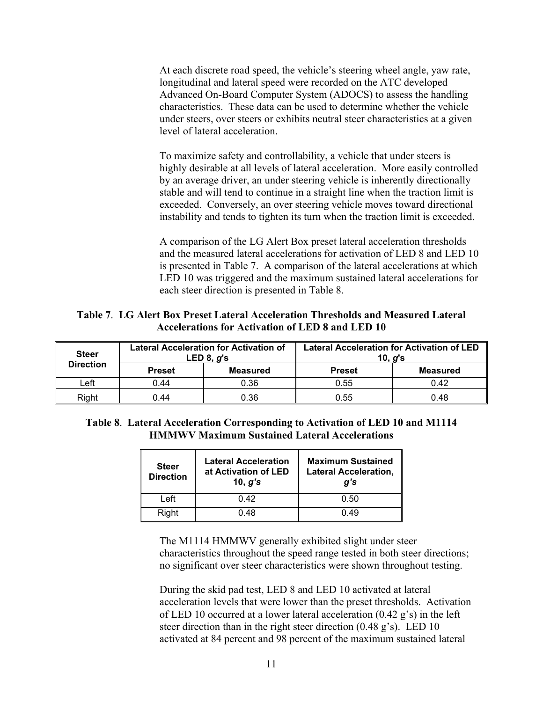At each discrete road speed, the vehicle's steering wheel angle, yaw rate, longitudinal and lateral speed were recorded on the ATC developed Advanced On-Board Computer System (ADOCS) to assess the handling characteristics. These data can be used to determine whether the vehicle under steers, over steers or exhibits neutral steer characteristics at a given level of lateral acceleration.

To maximize safety and controllability, a vehicle that under steers is highly desirable at all levels of lateral acceleration. More easily controlled by an average driver, an under steering vehicle is inherently directionally stable and will tend to continue in a straight line when the traction limit is exceeded. Conversely, an over steering vehicle moves toward directional instability and tends to tighten its turn when the traction limit is exceeded.

A comparison of the LG Alert Box preset lateral acceleration thresholds and the measured lateral accelerations for activation of LED 8 and LED 10 is presented in Table 7. A comparison of the lateral accelerations at which LED 10 was triggered and the maximum sustained lateral accelerations for each steer direction is presented in Table 8.

**Table 7**. **LG Alert Box Preset Lateral Acceleration Thresholds and Measured Lateral Accelerations for Activation of LED 8 and LED 10**

| <b>Steer</b>     | <b>Lateral Acceleration for Activation of</b><br>LED 8, $q$ 's |                 | <b>Lateral Acceleration for Activation of LED</b><br>10, $q$ 's |                 |
|------------------|----------------------------------------------------------------|-----------------|-----------------------------------------------------------------|-----------------|
| <b>Direction</b> | <b>Preset</b>                                                  | <b>Measured</b> | <b>Preset</b>                                                   | <b>Measured</b> |
| .eft             | 0.44                                                           | 0.36            | 0.55                                                            | 0.42            |
| Right            | 0.44                                                           | 0.36            | 0.55                                                            | 0.48            |

**Table 8**. **Lateral Acceleration Corresponding to Activation of LED 10 and M1114 HMMWV Maximum Sustained Lateral Accelerations**

| <b>Steer</b><br><b>Direction</b> | <b>Lateral Acceleration</b><br>at Activation of LED<br>10, $g$ 's | <b>Maximum Sustained</b><br><b>Lateral Acceleration,</b><br>g's |  |
|----------------------------------|-------------------------------------------------------------------|-----------------------------------------------------------------|--|
| Left                             | O 42                                                              | 0.50                                                            |  |
| Right                            | በ 48                                                              | በ 49                                                            |  |

The M1114 HMMWV generally exhibited slight under steer characteristics throughout the speed range tested in both steer directions; no significant over steer characteristics were shown throughout testing.

During the skid pad test, LED 8 and LED 10 activated at lateral acceleration levels that were lower than the preset thresholds. Activation of LED 10 occurred at a lower lateral acceleration (0.42 g's) in the left steer direction than in the right steer direction (0.48 g's). LED 10 activated at 84 percent and 98 percent of the maximum sustained lateral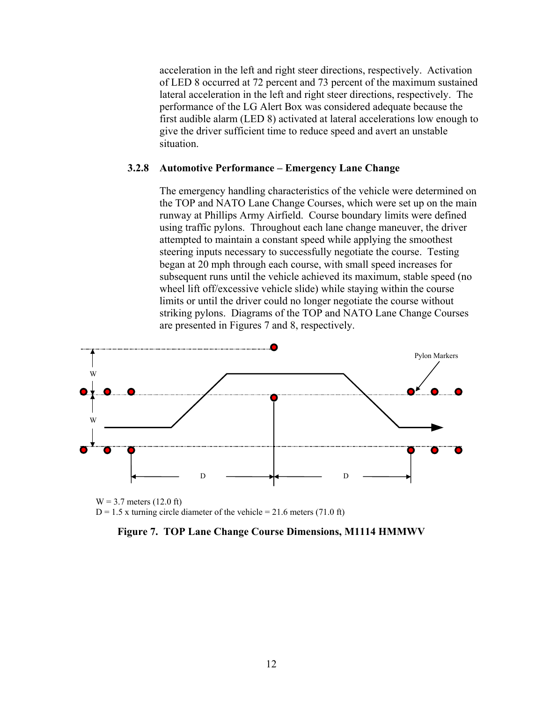acceleration in the left and right steer directions, respectively. Activation of LED 8 occurred at 72 percent and 73 percent of the maximum sustained lateral acceleration in the left and right steer directions, respectively. The performance of the LG Alert Box was considered adequate because the first audible alarm (LED 8) activated at lateral accelerations low enough to give the driver sufficient time to reduce speed and avert an unstable situation.

#### **3.2.8 Automotive Performance – Emergency Lane Change**

The emergency handling characteristics of the vehicle were determined on the TOP and NATO Lane Change Courses, which were set up on the main runway at Phillips Army Airfield. Course boundary limits were defined using traffic pylons. Throughout each lane change maneuver, the driver attempted to maintain a constant speed while applying the smoothest steering inputs necessary to successfully negotiate the course. Testing began at 20 mph through each course, with small speed increases for subsequent runs until the vehicle achieved its maximum, stable speed (no wheel lift off/excessive vehicle slide) while staying within the course limits or until the driver could no longer negotiate the course without striking pylons. Diagrams of the TOP and NATO Lane Change Courses are presented in Figures 7 and 8, respectively.



 $W = 3.7$  meters (12.0 ft)  $D = 1.5$  x turning circle diameter of the vehicle = 21.6 meters (71.0 ft)

**Figure 7. TOP Lane Change Course Dimensions, M1114 HMMWV**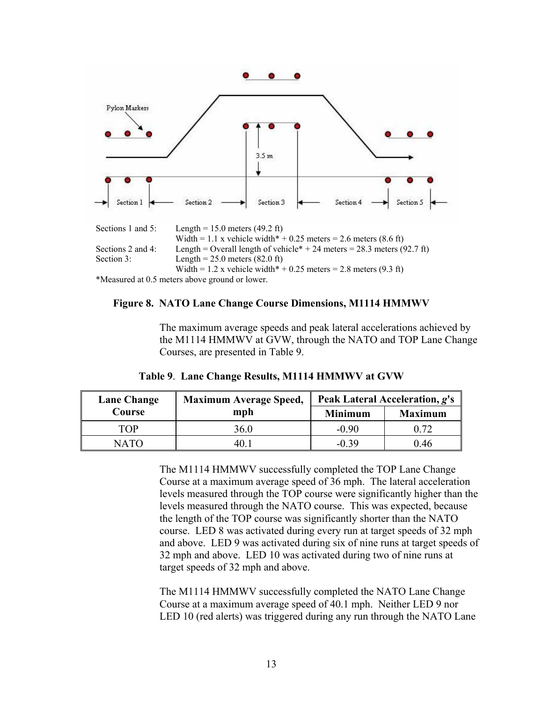

#### **Figure 8. NATO Lane Change Course Dimensions, M1114 HMMWV**

The maximum average speeds and peak lateral accelerations achieved by the M1114 HMMWV at GVW, through the NATO and TOP Lane Change Courses, are presented in Table 9.

| <b>Maximum Average Speed,</b><br>Lane Change |      | Peak Lateral Acceleration, g's |                |  |
|----------------------------------------------|------|--------------------------------|----------------|--|
| Course                                       | mph  | <b>Minimum</b>                 | <b>Maximum</b> |  |
| TOP                                          | 36.0 | $-0.90$                        | 0.72           |  |
| NATO                                         |      | -0.39                          | () 46          |  |

**Table 9**. **Lane Change Results, M1114 HMMWV at GVW**

The M1114 HMMWV successfully completed the TOP Lane Change Course at a maximum average speed of 36 mph. The lateral acceleration levels measured through the TOP course were significantly higher than the levels measured through the NATO course. This was expected, because the length of the TOP course was significantly shorter than the NATO course. LED 8 was activated during every run at target speeds of 32 mph and above. LED 9 was activated during six of nine runs at target speeds of 32 mph and above. LED 10 was activated during two of nine runs at target speeds of 32 mph and above.

The M1114 HMMWV successfully completed the NATO Lane Change Course at a maximum average speed of 40.1 mph. Neither LED 9 nor LED 10 (red alerts) was triggered during any run through the NATO Lane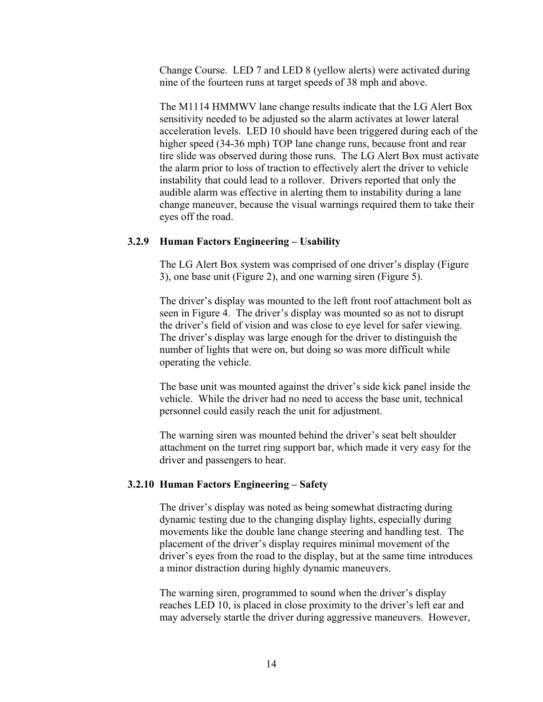Change Course. LED 7 and LED 8 (yellow alerts) were activated during nine of the fourteen runs at target speeds of 38 mph and above.

The M1114 HMMWV lane change results indicate that the LG Alert Box sensitivity needed to be adjusted so the alarm activates at lower lateral acceleration levels. LED 10 should have been triggered during each of the higher speed (34-36 mph) TOP lane change runs, because front and rear tire slide was observed during those runs. The LG Alert Box must activate the alarm prior to loss of traction to effectively alert the driver to vehicle instability that could lead to a rollover. Drivers reported that only the audible alarm was effective in alerting them to instability during a lane change maneuver, because the visual warnings required them to take their eyes off the road.

#### **3.2.9 Human Factors Engineering – Usability**

The LG Alert Box system was comprised of one driver's display (Figure 3), one base unit (Figure 2), and one warning siren (Figure 5).

The driver's display was mounted to the left front roof attachment bolt as seen in Figure 4. The driver's display was mounted so as not to disrupt the driver's field of vision and was close to eye level for safer viewing. The driver's display was large enough for the driver to distinguish the number of lights that were on, but doing so was more difficult while operating the vehicle.

The base unit was mounted against the driver's side kick panel inside the vehicle. While the driver had no need to access the base unit, technical personnel could easily reach the unit for adjustment.

The warning siren was mounted behind the driver's seat belt shoulder attachment on the turret ring support bar, which made it very easy for the driver and passengers to hear.

#### **3.2.10 Human Factors Engineering – Safety**

The driver's display was noted as being somewhat distracting during dynamic testing due to the changing display lights, especially during movements like the double lane change steering and handling test. The placement of the driver's display requires minimal movement of the driver's eyes from the road to the display, but at the same time introduces a minor distraction during highly dynamic maneuvers.

The warning siren, programmed to sound when the driver's display reaches LED 10, is placed in close proximity to the driver's left ear and may adversely startle the driver during aggressive maneuvers. However,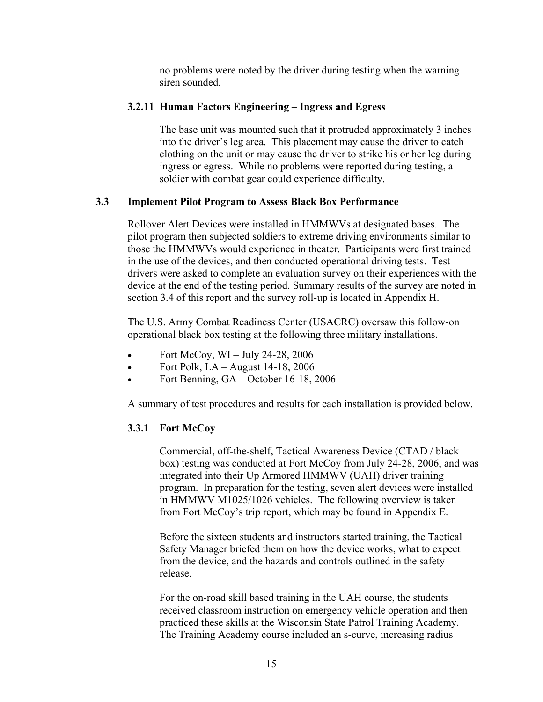no problems were noted by the driver during testing when the warning siren sounded.

#### **3.2.11 Human Factors Engineering – Ingress and Egress**

The base unit was mounted such that it protruded approximately 3 inches into the driver's leg area. This placement may cause the driver to catch clothing on the unit or may cause the driver to strike his or her leg during ingress or egress. While no problems were reported during testing, a soldier with combat gear could experience difficulty.

#### **3.3 Implement Pilot Program to Assess Black Box Performance**

Rollover Alert Devices were installed in HMMWVs at designated bases. The pilot program then subjected soldiers to extreme driving environments similar to those the HMMWVs would experience in theater. Participants were first trained in the use of the devices, and then conducted operational driving tests. Test drivers were asked to complete an evaluation survey on their experiences with the device at the end of the testing period. Summary results of the survey are noted in section 3.4 of this report and the survey roll-up is located in Appendix H.

The U.S. Army Combat Readiness Center (USACRC) oversaw this follow-on operational black box testing at the following three military installations.

- Fort McCoy,  $WI$  July 24-28, 2006
- Fort Polk,  $LA August 14-18$ , 2006
- Fort Benning, GA October 16-18, 2006

A summary of test procedures and results for each installation is provided below.

#### **3.3.1 Fort McCoy**

Commercial, off-the-shelf, Tactical Awareness Device (CTAD / black box) testing was conducted at Fort McCoy from July 24-28, 2006, and was integrated into their Up Armored HMMWV (UAH) driver training program. In preparation for the testing, seven alert devices were installed in HMMWV M1025/1026 vehicles. The following overview is taken from Fort McCoy's trip report, which may be found in Appendix E.

Before the sixteen students and instructors started training, the Tactical Safety Manager briefed them on how the device works, what to expect from the device, and the hazards and controls outlined in the safety release.

For the on-road skill based training in the UAH course, the students received classroom instruction on emergency vehicle operation and then practiced these skills at the Wisconsin State Patrol Training Academy. The Training Academy course included an s-curve, increasing radius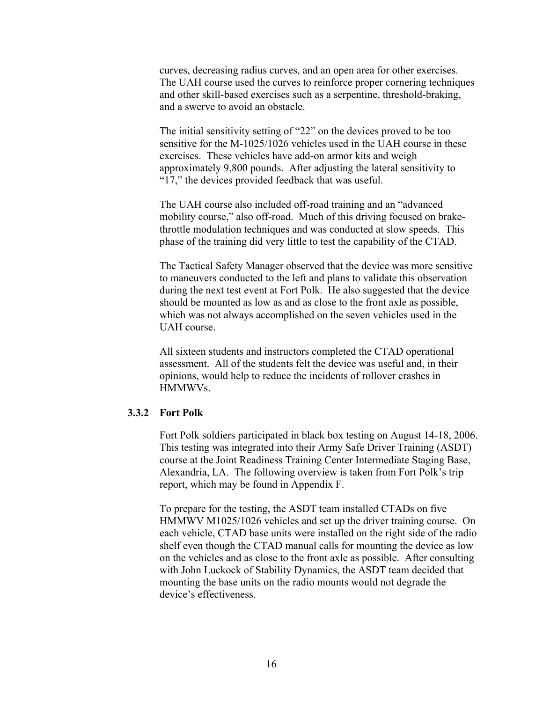curves, decreasing radius curves, and an open area for other exercises. The UAH course used the curves to reinforce proper cornering techniques and other skill-based exercises such as a serpentine, threshold-braking, and a swerve to avoid an obstacle.

The initial sensitivity setting of "22" on the devices proved to be too sensitive for the M-1025/1026 vehicles used in the UAH course in these exercises. These vehicles have add-on armor kits and weigh approximately 9,800 pounds. After adjusting the lateral sensitivity to "17," the devices provided feedback that was useful.

The UAH course also included off-road training and an "advanced mobility course," also off-road. Much of this driving focused on brakethrottle modulation techniques and was conducted at slow speeds. This phase of the training did very little to test the capability of the CTAD.

The Tactical Safety Manager observed that the device was more sensitive to maneuvers conducted to the left and plans to validate this observation during the next test event at Fort Polk. He also suggested that the device should be mounted as low as and as close to the front axle as possible, which was not always accomplished on the seven vehicles used in the UAH course.

All sixteen students and instructors completed the CTAD operational assessment. All of the students felt the device was useful and, in their opinions, would help to reduce the incidents of rollover crashes in HMMWVs.

#### **3.3.2 Fort Polk**

Fort Polk soldiers participated in black box testing on August 14-18, 2006. This testing was integrated into their Army Safe Driver Training (ASDT) course at the Joint Readiness Training Center Intermediate Staging Base, Alexandria, LA. The following overview is taken from Fort Polk's trip report, which may be found in Appendix F.

To prepare for the testing, the ASDT team installed CTADs on five HMMWV M1025/1026 vehicles and set up the driver training course. On each vehicle, CTAD base units were installed on the right side of the radio shelf even though the CTAD manual calls for mounting the device as low on the vehicles and as close to the front axle as possible. After consulting with John Luckock of Stability Dynamics, the ASDT team decided that mounting the base units on the radio mounts would not degrade the device's effectiveness.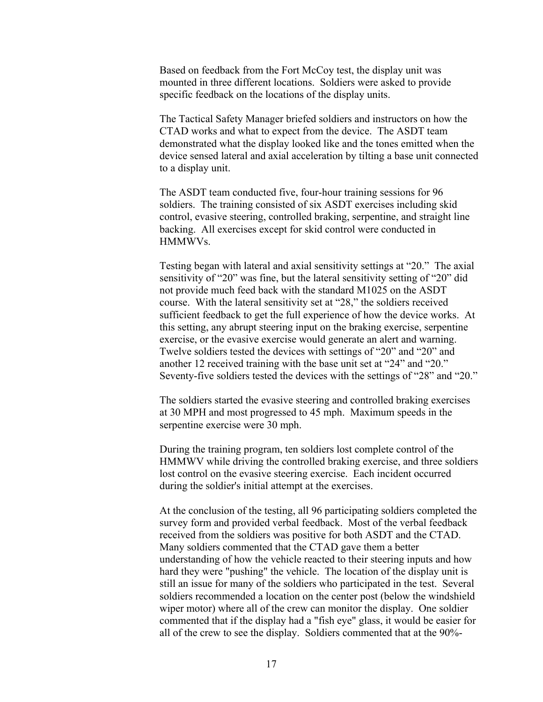Based on feedback from the Fort McCoy test, the display unit was mounted in three different locations. Soldiers were asked to provide specific feedback on the locations of the display units.

The Tactical Safety Manager briefed soldiers and instructors on how the CTAD works and what to expect from the device. The ASDT team demonstrated what the display looked like and the tones emitted when the device sensed lateral and axial acceleration by tilting a base unit connected to a display unit.

The ASDT team conducted five, four-hour training sessions for 96 soldiers. The training consisted of six ASDT exercises including skid control, evasive steering, controlled braking, serpentine, and straight line backing. All exercises except for skid control were conducted in HMMWVs.

Testing began with lateral and axial sensitivity settings at "20." The axial sensitivity of "20" was fine, but the lateral sensitivity setting of "20" did not provide much feed back with the standard M1025 on the ASDT course. With the lateral sensitivity set at "28," the soldiers received sufficient feedback to get the full experience of how the device works. At this setting, any abrupt steering input on the braking exercise, serpentine exercise, or the evasive exercise would generate an alert and warning. Twelve soldiers tested the devices with settings of "20" and "20" and another 12 received training with the base unit set at "24" and "20." Seventy-five soldiers tested the devices with the settings of "28" and "20."

The soldiers started the evasive steering and controlled braking exercises at 30 MPH and most progressed to 45 mph. Maximum speeds in the serpentine exercise were 30 mph.

During the training program, ten soldiers lost complete control of the HMMWV while driving the controlled braking exercise, and three soldiers lost control on the evasive steering exercise. Each incident occurred during the soldier's initial attempt at the exercises.

At the conclusion of the testing, all 96 participating soldiers completed the survey form and provided verbal feedback. Most of the verbal feedback received from the soldiers was positive for both ASDT and the CTAD. Many soldiers commented that the CTAD gave them a better understanding of how the vehicle reacted to their steering inputs and how hard they were "pushing" the vehicle. The location of the display unit is still an issue for many of the soldiers who participated in the test. Several soldiers recommended a location on the center post (below the windshield wiper motor) where all of the crew can monitor the display. One soldier commented that if the display had a "fish eye" glass, it would be easier for all of the crew to see the display. Soldiers commented that at the 90%-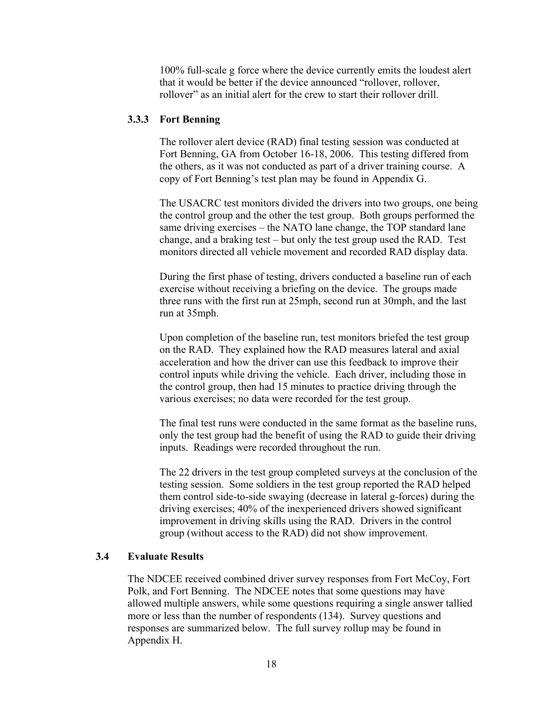100% full-scale g force where the device currently emits the loudest alert that it would be better if the device announced "rollover, rollover, rollover" as an initial alert for the crew to start their rollover drill.

#### **3.3.3 Fort Benning**

The rollover alert device (RAD) final testing session was conducted at Fort Benning, GA from October 16-18, 2006. This testing differed from the others, as it was not conducted as part of a driver training course. A copy of Fort Benning's test plan may be found in Appendix G.

The USACRC test monitors divided the drivers into two groups, one being the control group and the other the test group. Both groups performed the same driving exercises – the NATO lane change, the TOP standard lane change, and a braking test – but only the test group used the RAD. Test monitors directed all vehicle movement and recorded RAD display data.

During the first phase of testing, drivers conducted a baseline run of each exercise without receiving a briefing on the device. The groups made three runs with the first run at 25mph, second run at 30mph, and the last run at 35mph.

Upon completion of the baseline run, test monitors briefed the test group on the RAD. They explained how the RAD measures lateral and axial acceleration and how the driver can use this feedback to improve their control inputs while driving the vehicle. Each driver, including those in the control group, then had 15 minutes to practice driving through the various exercises; no data were recorded for the test group.

The final test runs were conducted in the same format as the baseline runs, only the test group had the benefit of using the RAD to guide their driving inputs. Readings were recorded throughout the run.

The 22 drivers in the test group completed surveys at the conclusion of the testing session. Some soldiers in the test group reported the RAD helped them control side-to-side swaying (decrease in lateral g-forces) during the driving exercises; 40% of the inexperienced drivers showed significant improvement in driving skills using the RAD. Drivers in the control group (without access to the RAD) did not show improvement.

#### **3.4 Evaluate Results**

The NDCEE received combined driver survey responses from Fort McCoy, Fort Polk, and Fort Benning. The NDCEE notes that some questions may have allowed multiple answers, while some questions requiring a single answer tallied more or less than the number of respondents (134). Survey questions and responses are summarized below. The full survey rollup may be found in Appendix H.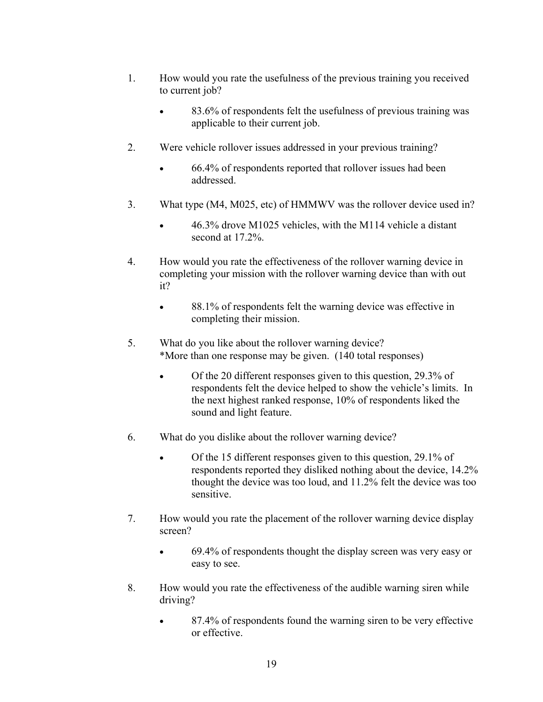- 1. How would you rate the usefulness of the previous training you received to current job?
	- 83.6% of respondents felt the usefulness of previous training was applicable to their current job.
- 2. Were vehicle rollover issues addressed in your previous training?
	- 66.4% of respondents reported that rollover issues had been addressed.
- 3. What type (M4, M025, etc) of HMMWV was the rollover device used in?
	- 46.3% drove M1025 vehicles, with the M114 vehicle a distant second at 17.2%.
- 4. How would you rate the effectiveness of the rollover warning device in completing your mission with the rollover warning device than with out it?
	- 88.1% of respondents felt the warning device was effective in completing their mission.
- 5. What do you like about the rollover warning device? \*More than one response may be given. (140 total responses)
	- Of the 20 different responses given to this question, 29.3% of respondents felt the device helped to show the vehicle's limits. In the next highest ranked response, 10% of respondents liked the sound and light feature.
- 6. What do you dislike about the rollover warning device?
	- Of the 15 different responses given to this question, 29.1% of respondents reported they disliked nothing about the device, 14.2% thought the device was too loud, and 11.2% felt the device was too sensitive.
- 7. How would you rate the placement of the rollover warning device display screen?
	- 69.4% of respondents thought the display screen was very easy or easy to see.
- 8. How would you rate the effectiveness of the audible warning siren while driving?
	- 87.4% of respondents found the warning siren to be very effective or effective.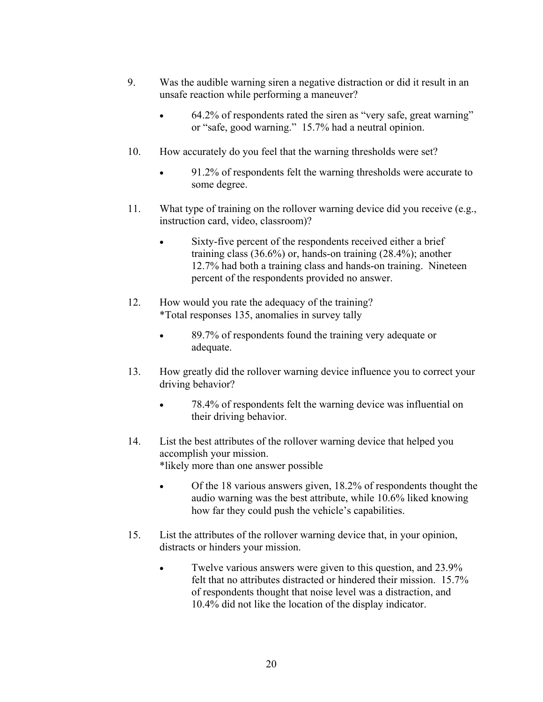- 9. Was the audible warning siren a negative distraction or did it result in an unsafe reaction while performing a maneuver?
	- 64.2% of respondents rated the siren as "very safe, great warning" or "safe, good warning." 15.7% had a neutral opinion.
- 10. How accurately do you feel that the warning thresholds were set?
	- 91.2% of respondents felt the warning thresholds were accurate to some degree.
- 11. What type of training on the rollover warning device did you receive (e.g., instruction card, video, classroom)?
	- Sixty-five percent of the respondents received either a brief training class (36.6%) or, hands-on training (28.4%); another 12.7% had both a training class and hands-on training. Nineteen percent of the respondents provided no answer.
- 12. How would you rate the adequacy of the training? \*Total responses 135, anomalies in survey tally
	- 89.7% of respondents found the training very adequate or adequate.
- 13. How greatly did the rollover warning device influence you to correct your driving behavior?
	- 78.4% of respondents felt the warning device was influential on their driving behavior.
- 14. List the best attributes of the rollover warning device that helped you accomplish your mission. \*likely more than one answer possible
	- Of the 18 various answers given, 18.2% of respondents thought the audio warning was the best attribute, while 10.6% liked knowing how far they could push the vehicle's capabilities.
- 15. List the attributes of the rollover warning device that, in your opinion, distracts or hinders your mission.
	- Twelve various answers were given to this question, and 23.9% felt that no attributes distracted or hindered their mission. 15.7% of respondents thought that noise level was a distraction, and 10.4% did not like the location of the display indicator.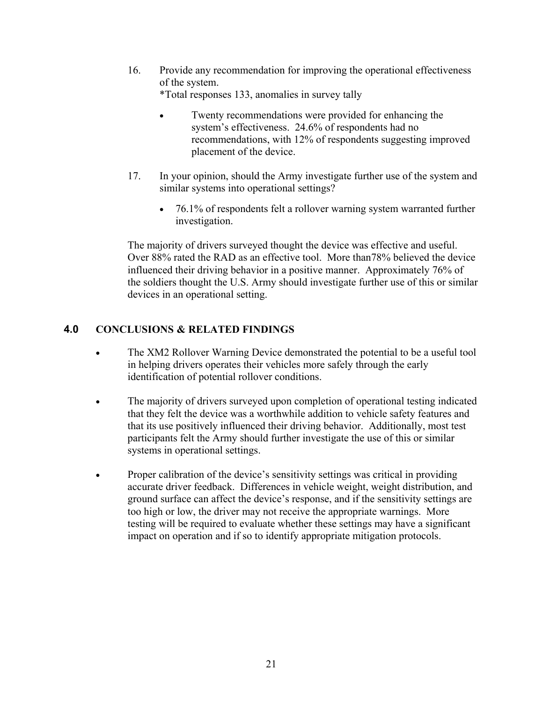- 16. Provide any recommendation for improving the operational effectiveness of the system. \*Total responses 133, anomalies in survey tally
	- Twenty recommendations were provided for enhancing the system's effectiveness. 24.6% of respondents had no recommendations, with 12% of respondents suggesting improved placement of the device.
- 17. In your opinion, should the Army investigate further use of the system and similar systems into operational settings?
	- 76.1% of respondents felt a rollover warning system warranted further investigation.

The majority of drivers surveyed thought the device was effective and useful. Over 88% rated the RAD as an effective tool. More than78% believed the device influenced their driving behavior in a positive manner. Approximately 76% of the soldiers thought the U.S. Army should investigate further use of this or similar devices in an operational setting.

## **4.0 CONCLUSIONS & RELATED FINDINGS**

- The XM2 Rollover Warning Device demonstrated the potential to be a useful tool in helping drivers operates their vehicles more safely through the early identification of potential rollover conditions.
- The majority of drivers surveyed upon completion of operational testing indicated that they felt the device was a worthwhile addition to vehicle safety features and that its use positively influenced their driving behavior. Additionally, most test participants felt the Army should further investigate the use of this or similar systems in operational settings.
- Proper calibration of the device's sensitivity settings was critical in providing accurate driver feedback. Differences in vehicle weight, weight distribution, and ground surface can affect the device's response, and if the sensitivity settings are too high or low, the driver may not receive the appropriate warnings. More testing will be required to evaluate whether these settings may have a significant impact on operation and if so to identify appropriate mitigation protocols.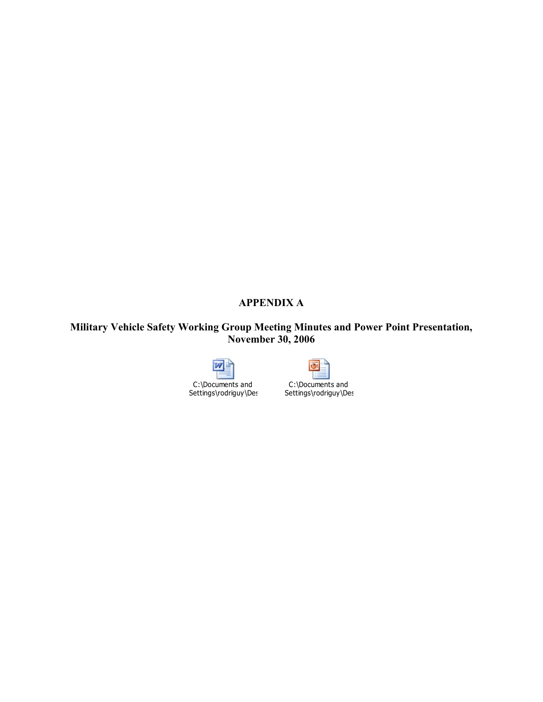# **APPENDIX A**

## **Military Vehicle Safety Working Group Meeting Minutes and Power Point Presentation, November 30, 2006**



Settings\rodriguy\Des



C:\Documents and Settings\rodriguy\Des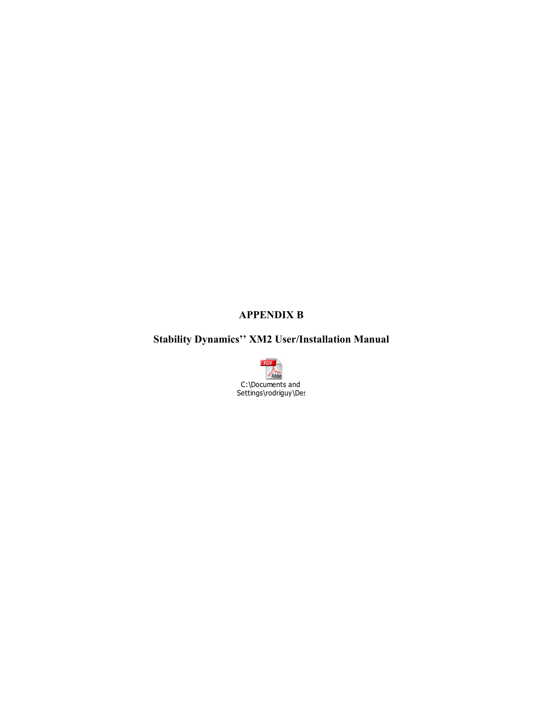# **APPENDIX B**

# **Stability Dynamics'' XM2 User/Installation Manual**

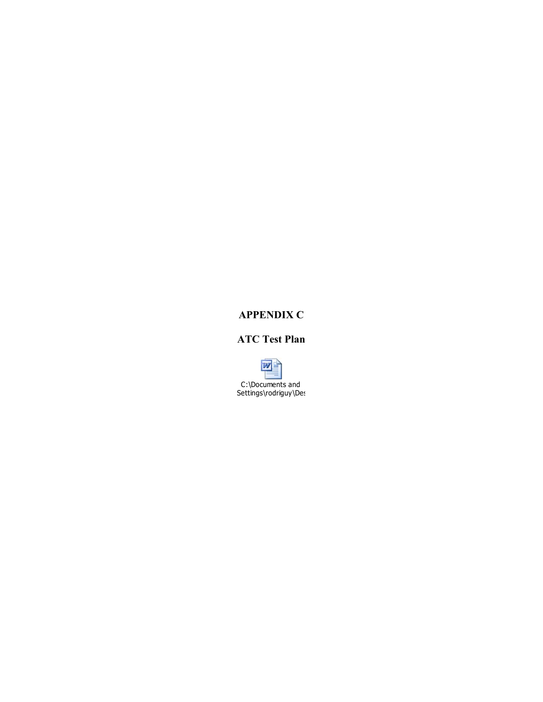## **APPENDIX C**

# **ATC Test Plan**

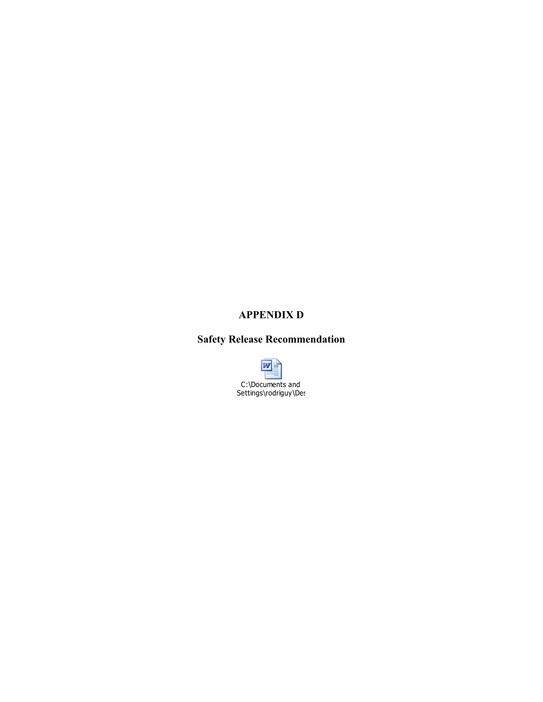## **APPENDIX D**

# **Safety Release Recommendation**

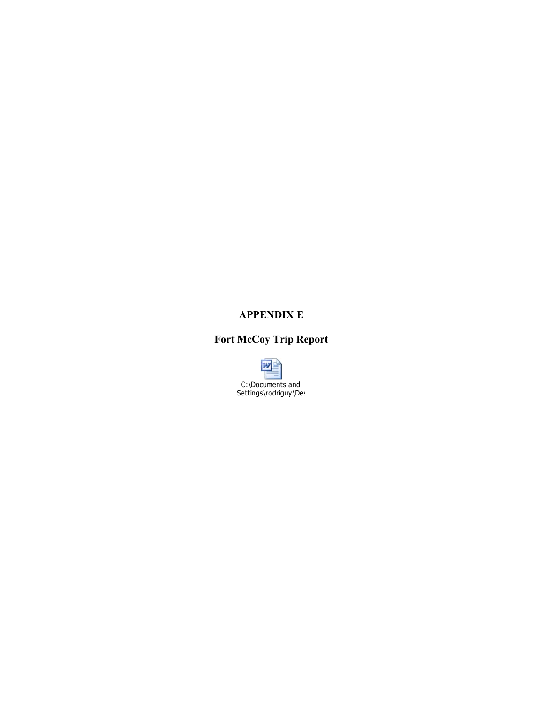## **APPENDIX E**

# **Fort McCoy Trip Report**

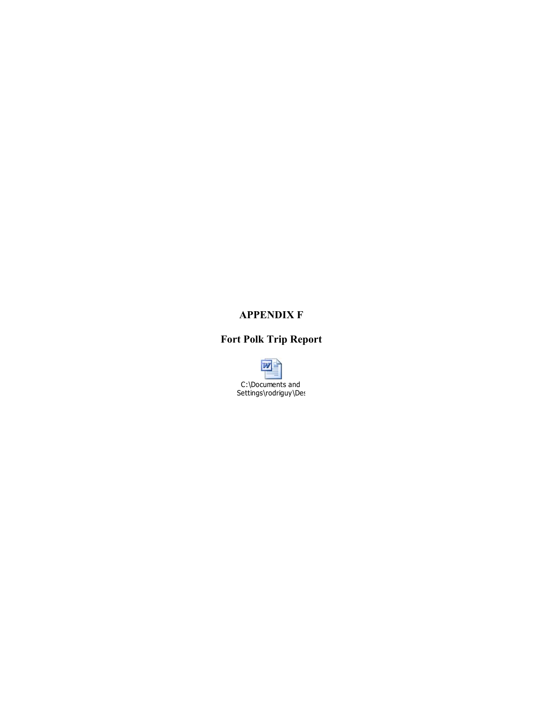## **APPENDIX F**

# **Fort Polk Trip Report**

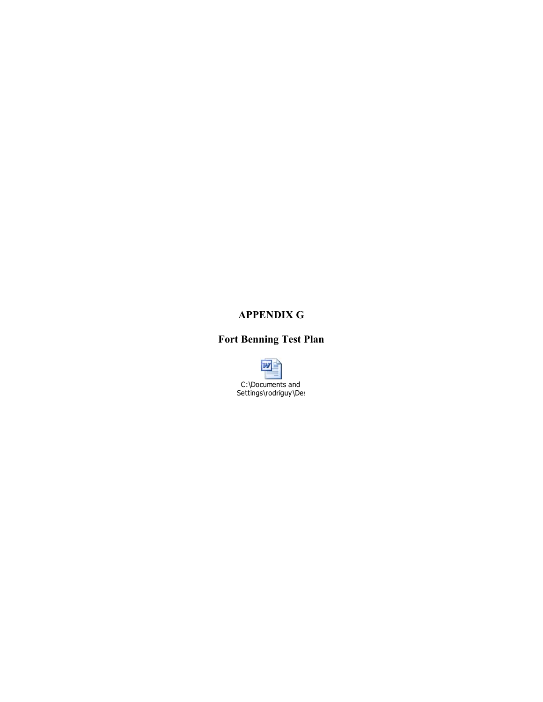## **APPENDIX G**

# **Fort Benning Test Plan**

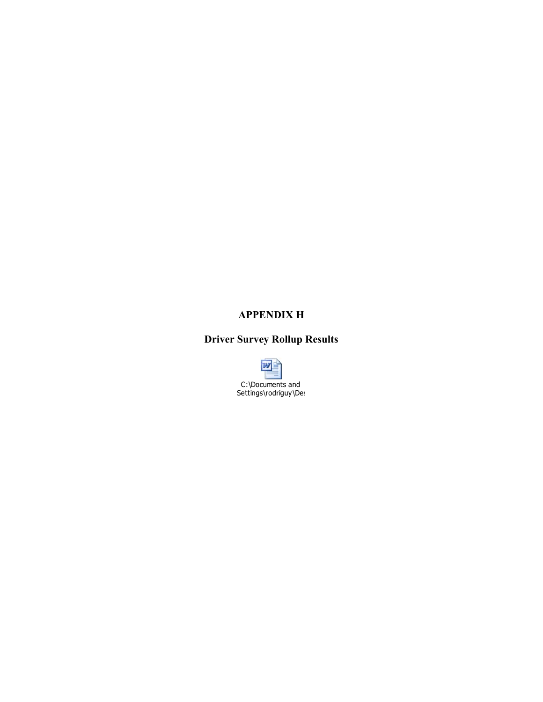# **APPENDIX H**

# **Driver Survey Rollup Results**